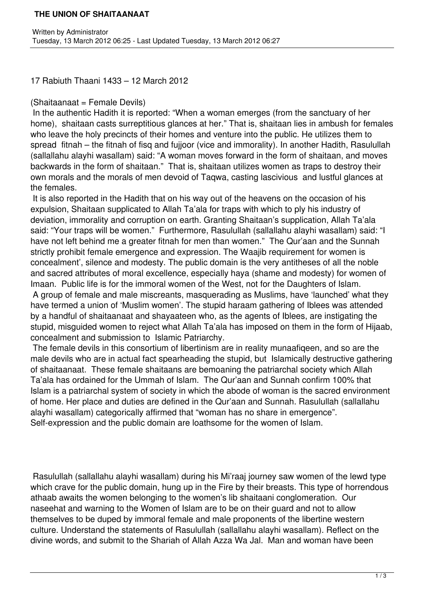## **THE UNION OF SHAITAANAAT**

17 Rabiuth Thaani 1433 – 12 March 2012

## (Shaitaanaat = Female Devils)

 In the authentic Hadith it is reported: "When a woman emerges (from the sanctuary of her home), shaitaan casts surreptitious glances at her." That is, shaitaan lies in ambush for females who leave the holy precincts of their homes and venture into the public. He utilizes them to spread fitnah – the fitnah of fisq and fujjoor (vice and immorality). In another Hadith, Rasulullah (sallallahu alayhi wasallam) said: "A woman moves forward in the form of shaitaan, and moves backwards in the form of shaitaan." That is, shaitaan utilizes women as traps to destroy their own morals and the morals of men devoid of Taqwa, casting lascivious and lustful glances at the females.

 It is also reported in the Hadith that on his way out of the heavens on the occasion of his expulsion, Shaitaan supplicated to Allah Ta'ala for traps with which to ply his industry of deviation, immorality and corruption on earth. Granting Shaitaan's supplication, Allah Ta'ala said: "Your traps will be women." Furthermore, Rasulullah (sallallahu alayhi wasallam) said: "I have not left behind me a greater fitnah for men than women." The Qur'aan and the Sunnah strictly prohibit female emergence and expression. The Waajib requirement for women is concealment', silence and modesty. The public domain is the very antitheses of all the noble and sacred attributes of moral excellence, especially haya (shame and modesty) for women of Imaan. Public life is for the immoral women of the West, not for the Daughters of Islam.

 A group of female and male miscreants, masquerading as Muslims, have 'launched' what they have termed a union of 'Muslim women'. The stupid haraam gathering of Iblees was attended by a handful of shaitaanaat and shayaateen who, as the agents of Iblees, are instigating the stupid, misguided women to reject what Allah Ta'ala has imposed on them in the form of Hijaab, concealment and submission to Islamic Patriarchy.

 The female devils in this consortium of libertinism are in reality munaafiqeen, and so are the male devils who are in actual fact spearheading the stupid, but Islamically destructive gathering of shaitaanaat. These female shaitaans are bemoaning the patriarchal society which Allah Ta'ala has ordained for the Ummah of Islam. The Qur'aan and Sunnah confirm 100% that Islam is a patriarchal system of society in which the abode of woman is the sacred environment of home. Her place and duties are defined in the Qur'aan and Sunnah. Rasulullah (sallallahu alayhi wasallam) categorically affirmed that "woman has no share in emergence". Self-expression and the public domain are loathsome for the women of Islam.

 Rasulullah (sallallahu alayhi wasallam) during his Mi'raaj journey saw women of the lewd type which crave for the public domain, hung up in the Fire by their breasts. This type of horrendous athaab awaits the women belonging to the women's lib shaitaani conglomeration. Our naseehat and warning to the Women of Islam are to be on their guard and not to allow themselves to be duped by immoral female and male proponents of the libertine western culture. Understand the statements of Rasulullah (sallallahu alayhi wasallam). Reflect on the divine words, and submit to the Shariah of Allah Azza Wa Jal. Man and woman have been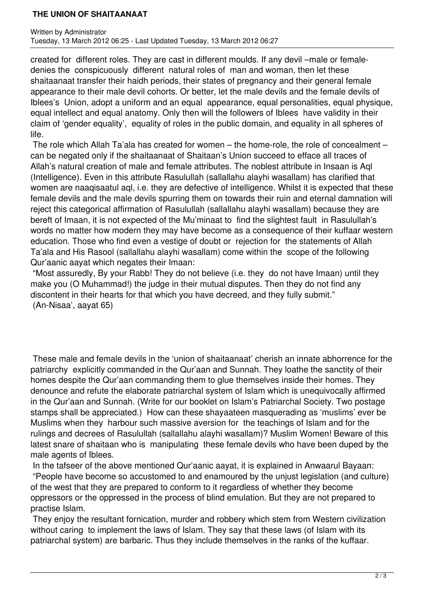## **THE UNION OF SHAITAANAAT**

created for different roles. They are cast in different moulds. If any devil –male or femaledenies the conspicuously different natural roles of man and woman, then let these shaitaanaat transfer their haidh periods, their states of pregnancy and their general female appearance to their male devil cohorts. Or better, let the male devils and the female devils of Iblees's Union, adopt a uniform and an equal appearance, equal personalities, equal physique, equal intellect and equal anatomy. Only then will the followers of Iblees have validity in their claim of 'gender equality', equality of roles in the public domain, and equality in all spheres of life.

 The role which Allah Ta'ala has created for women – the home-role, the role of concealment – can be negated only if the shaitaanaat of Shaitaan's Union succeed to efface all traces of Allah's natural creation of male and female attributes. The noblest attribute in Insaan is Aql (Intelligence). Even in this attribute Rasulullah (sallallahu alayhi wasallam) has clarified that women are naaqisaatul aql, i.e. they are defective of intelligence. Whilst it is expected that these female devils and the male devils spurring them on towards their ruin and eternal damnation will reject this categorical affirmation of Rasulullah (sallallahu alayhi wasallam) because they are bereft of Imaan, it is not expected of the Mu'minaat to find the slightest fault in Rasulullah's words no matter how modern they may have become as a consequence of their kuffaar western education. Those who find even a vestige of doubt or rejection for the statements of Allah Ta'ala and His Rasool (sallallahu alayhi wasallam) come within the scope of the following Qur'aanic aayat which negates their Imaan:

 "Most assuredly, By your Rabb! They do not believe (i.e. they do not have Imaan) until they make you (O Muhammad!) the judge in their mutual disputes. Then they do not find any discontent in their hearts for that which you have decreed, and they fully submit." (An-Nisaa', aayat 65)

 These male and female devils in the 'union of shaitaanaat' cherish an innate abhorrence for the patriarchy explicitly commanded in the Qur'aan and Sunnah. They loathe the sanctity of their homes despite the Qur'aan commanding them to glue themselves inside their homes. They denounce and refute the elaborate patriarchal system of Islam which is unequivocally affirmed in the Qur'aan and Sunnah. (Write for our booklet on Islam's Patriarchal Society. Two postage stamps shall be appreciated.) How can these shayaateen masquerading as 'muslims' ever be Muslims when they harbour such massive aversion for the teachings of Islam and for the rulings and decrees of Rasulullah (sallallahu alayhi wasallam)? Muslim Women! Beware of this latest snare of shaitaan who is manipulating these female devils who have been duped by the male agents of Iblees.

 In the tafseer of the above mentioned Qur'aanic aayat, it is explained in Anwaarul Bayaan: "People have become so accustomed to and enamoured by the unjust legislation (and culture) of the west that they are prepared to conform to it regardless of whether they become oppressors or the oppressed in the process of blind emulation. But they are not prepared to practise Islam.

 They enjoy the resultant fornication, murder and robbery which stem from Western civilization without caring to implement the laws of Islam. They say that these laws (of Islam with its patriarchal system) are barbaric. Thus they include themselves in the ranks of the kuffaar.